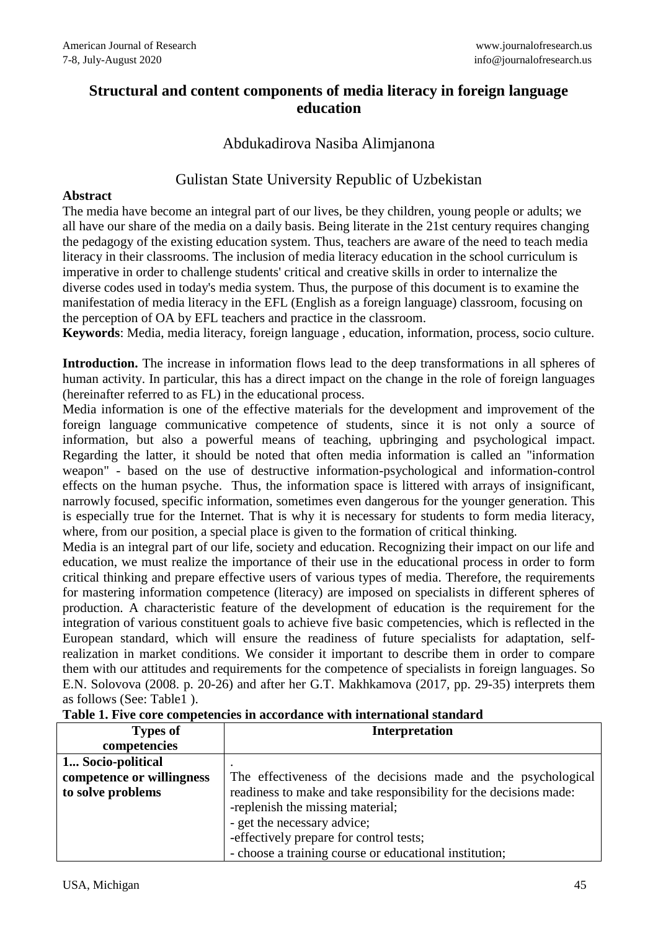# **Structural and content components of media literacy in foreign language education**

### Abdukadirova Nasiba Alimjanona

# Gulistan State University Republic of Uzbekistan

### **Abstract**

The media have become an integral part of our lives, be they children, young people or adults; we all have our share of the media on a daily basis. Being literate in the 21st century requires changing the pedagogy of the existing education system. Thus, teachers are aware of the need to teach media literacy in their classrooms. The inclusion of media literacy education in the school curriculum is imperative in order to challenge students' critical and creative skills in order to internalize the diverse codes used in today's media system. Thus, the purpose of this document is to examine the manifestation of media literacy in the EFL (English as a foreign language) classroom, focusing on the perception of OA by EFL teachers and practice in the classroom.

**Keywords**: Media, media literacy, foreign language , education, information, process, socio culture.

**Introduction.** The increase in information flows lead to the deep transformations in all spheres of human activity. In particular, this has a direct impact on the change in the role of foreign languages (hereinafter referred to as FL) in the educational process.

Media information is one of the effective materials for the development and improvement of the foreign language communicative competence of students, since it is not only a source of information, but also a powerful means of teaching, upbringing and psychological impact. Regarding the latter, it should be noted that often media information is called an "information weapon" - based on the use of destructive information-psychological and information-control effects on the human psyche. Thus, the information space is littered with arrays of insignificant, narrowly focused, specific information, sometimes even dangerous for the younger generation. This is especially true for the Internet. That is why it is necessary for students to form media literacy, where, from our position, a special place is given to the formation of critical thinking.

Media is an integral part of our life, society and education. Recognizing their impact on our life and education, we must realize the importance of their use in the educational process in order to form critical thinking and prepare effective users of various types of media. Therefore, the requirements for mastering information competence (literacy) are imposed on specialists in different spheres of production. A characteristic feature of the development of education is the requirement for the integration of various constituent goals to achieve five basic competencies, which is reflected in the European standard, which will ensure the readiness of future specialists for adaptation, selfrealization in market conditions. We consider it important to describe them in order to compare them with our attitudes and requirements for the competence of specialists in foreign languages. So E.N. Solovova (2008. p. 20-26) and after her G.T. Makhkamova (2017, pp. 29-35) interprets them as follows (See: Table1 ).

| <b>Types of</b>           | <b>Interpretation</b>                                             |
|---------------------------|-------------------------------------------------------------------|
| competencies              |                                                                   |
| 1 Socio-political         |                                                                   |
| competence or willingness | The effectiveness of the decisions made and the psychological     |
| to solve problems         | readiness to make and take responsibility for the decisions made: |
|                           | -replenish the missing material;                                  |
|                           | - get the necessary advice;                                       |
|                           | -effectively prepare for control tests;                           |
|                           | - choose a training course or educational institution;            |

**Table 1. Five core competencies in accordance with international standard**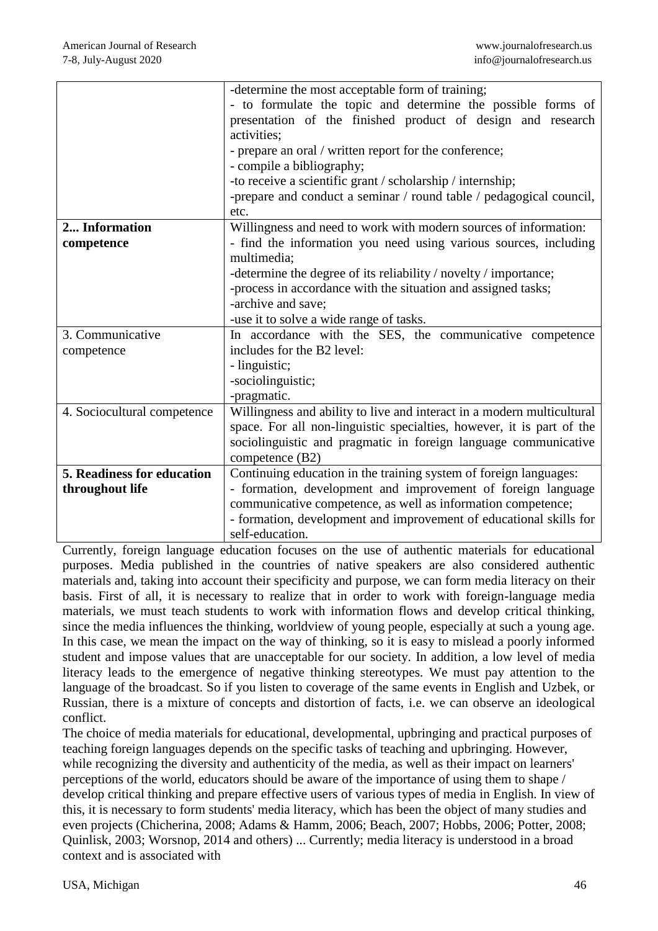|                             | -determine the most acceptable form of training;                       |
|-----------------------------|------------------------------------------------------------------------|
|                             | - to formulate the topic and determine the possible forms of           |
|                             | presentation of the finished product of design and research            |
|                             | activities;                                                            |
|                             | - prepare an oral / written report for the conference;                 |
|                             | - compile a bibliography;                                              |
|                             | -to receive a scientific grant / scholarship / internship;             |
|                             | -prepare and conduct a seminar / round table / pedagogical council,    |
|                             | etc.                                                                   |
| 2 Information               | Willingness and need to work with modern sources of information:       |
| competence                  | - find the information you need using various sources, including       |
|                             | multimedia;                                                            |
|                             | -determine the degree of its reliability / novelty / importance;       |
|                             | -process in accordance with the situation and assigned tasks;          |
|                             | -archive and save;                                                     |
|                             | -use it to solve a wide range of tasks.                                |
| 3. Communicative            | In accordance with the SES, the communicative competence               |
| competence                  | includes for the B2 level:                                             |
|                             | - linguistic;                                                          |
|                             | -sociolinguistic;                                                      |
|                             | -pragmatic.                                                            |
| 4. Sociocultural competence | Willingness and ability to live and interact in a modern multicultural |
|                             | space. For all non-linguistic specialties, however, it is part of the  |
|                             | sociolinguistic and pragmatic in foreign language communicative        |
|                             | competence (B2)                                                        |
| 5. Readiness for education  | Continuing education in the training system of foreign languages:      |
| throughout life             | - formation, development and improvement of foreign language           |
|                             | communicative competence, as well as information competence;           |
|                             | - formation, development and improvement of educational skills for     |
|                             | self-education.                                                        |

Currently, foreign language education focuses on the use of authentic materials for educational purposes. Media published in the countries of native speakers are also considered authentic materials and, taking into account their specificity and purpose, we can form media literacy on their basis. First of all, it is necessary to realize that in order to work with foreign-language media materials, we must teach students to work with information flows and develop critical thinking, since the media influences the thinking, worldview of young people, especially at such a young age. In this case, we mean the impact on the way of thinking, so it is easy to mislead a poorly informed student and impose values that are unacceptable for our society. In addition, a low level of media literacy leads to the emergence of negative thinking stereotypes. We must pay attention to the language of the broadcast. So if you listen to coverage of the same events in English and Uzbek, or Russian, there is a mixture of concepts and distortion of facts, i.e. we can observe an ideological conflict.

The choice of media materials for educational, developmental, upbringing and practical purposes of teaching foreign languages depends on the specific tasks of teaching and upbringing. However, while recognizing the diversity and authenticity of the media, as well as their impact on learners' perceptions of the world, educators should be aware of the importance of using them to shape / develop critical thinking and prepare effective users of various types of media in English. In view of this, it is necessary to form students' media literacy, which has been the object of many studies and even projects (Chicherina, 2008; Adams & Hamm, 2006; Beach, 2007; Hobbs, 2006; Potter, 2008; Quinlisk, 2003; Worsnop, 2014 and others) ... Currently; media literacy is understood in a broad context and is associated with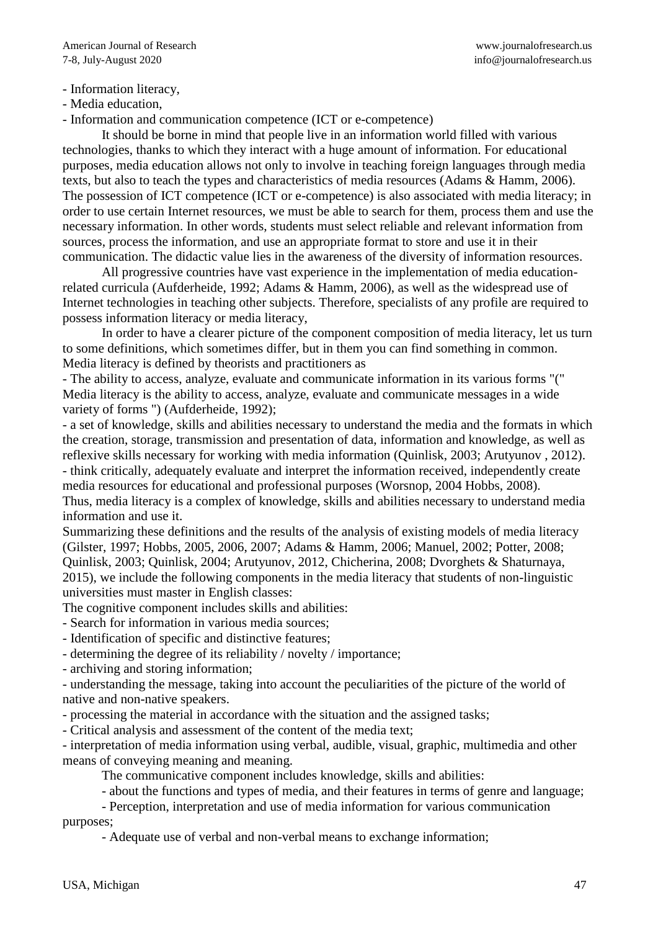- Information literacy,

- Media education,

- Information and communication competence (ICT or e-competence)

It should be borne in mind that people live in an information world filled with various technologies, thanks to which they interact with a huge amount of information. For educational purposes, media education allows not only to involve in teaching foreign languages through media texts, but also to teach the types and characteristics of media resources (Adams & Hamm, 2006). The possession of ICT competence (ICT or e-competence) is also associated with media literacy; in order to use certain Internet resources, we must be able to search for them, process them and use the necessary information. In other words, students must select reliable and relevant information from sources, process the information, and use an appropriate format to store and use it in their communication. The didactic value lies in the awareness of the diversity of information resources.

All progressive countries have vast experience in the implementation of media educationrelated curricula (Aufderheide, 1992; Adams & Hamm, 2006), as well as the widespread use of Internet technologies in teaching other subjects. Therefore, specialists of any profile are required to possess information literacy or media literacy,

In order to have a clearer picture of the component composition of media literacy, let us turn to some definitions, which sometimes differ, but in them you can find something in common. Media literacy is defined by theorists and practitioners as

- The ability to access, analyze, evaluate and communicate information in its various forms "(" Media literacy is the ability to access, analyze, evaluate and communicate messages in a wide variety of forms ") (Aufderheide, 1992);

- a set of knowledge, skills and abilities necessary to understand the media and the formats in which the creation, storage, transmission and presentation of data, information and knowledge, as well as reflexive skills necessary for working with media information (Quinlisk, 2003; Arutyunov , 2012). - think critically, adequately evaluate and interpret the information received, independently create media resources for educational and professional purposes (Worsnop, 2004 Hobbs, 2008). Thus, media literacy is a complex of knowledge, skills and abilities necessary to understand media information and use it.

Summarizing these definitions and the results of the analysis of existing models of media literacy (Gilster, 1997; Hobbs, 2005, 2006, 2007; Adams & Hamm, 2006; Manuel, 2002; Potter, 2008; Quinlisk, 2003; Quinlisk, 2004; Arutyunov, 2012, Chicherina, 2008; Dvorghets & Shaturnaya, 2015), we include the following components in the media literacy that students of non-linguistic universities must master in English classes:

The cognitive component includes skills and abilities:

- Search for information in various media sources;

- Identification of specific and distinctive features;

- determining the degree of its reliability / novelty / importance;

- archiving and storing information;

- understanding the message, taking into account the peculiarities of the picture of the world of native and non-native speakers.

- processing the material in accordance with the situation and the assigned tasks;

- Critical analysis and assessment of the content of the media text;

- interpretation of media information using verbal, audible, visual, graphic, multimedia and other means of conveying meaning and meaning.

The communicative component includes knowledge, skills and abilities:

- about the functions and types of media, and their features in terms of genre and language;

- Perception, interpretation and use of media information for various communication purposes;

- Adequate use of verbal and non-verbal means to exchange information;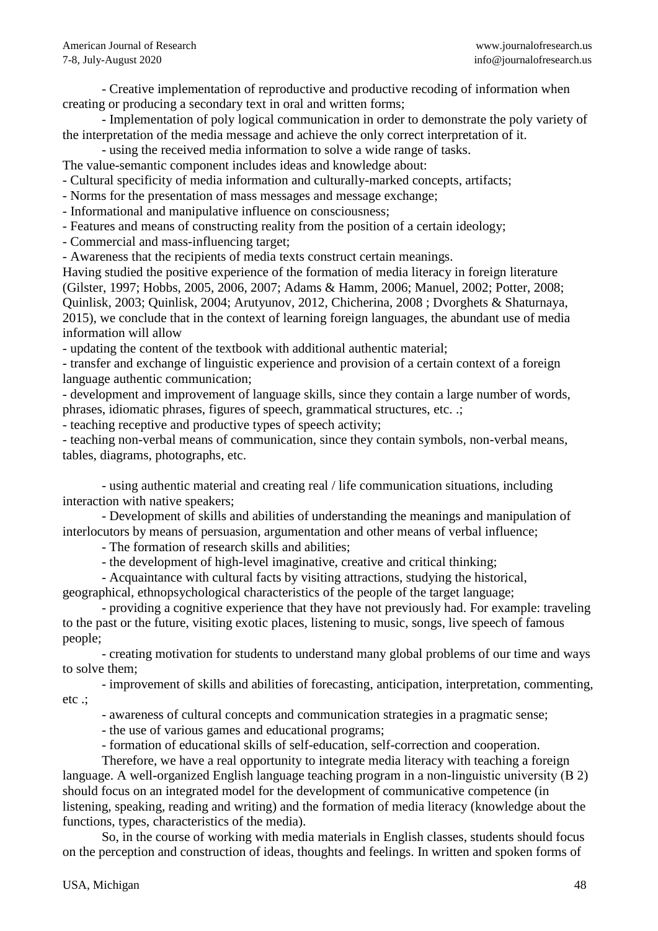- Creative implementation of reproductive and productive recoding of information when creating or producing a secondary text in oral and written forms;

- Implementation of poly logical communication in order to demonstrate the poly variety of the interpretation of the media message and achieve the only correct interpretation of it.

- using the received media information to solve a wide range of tasks.

The value-semantic component includes ideas and knowledge about:

- Cultural specificity of media information and culturally-marked concepts, artifacts;

- Norms for the presentation of mass messages and message exchange;

- Informational and manipulative influence on consciousness;

- Features and means of constructing reality from the position of a certain ideology;

- Commercial and mass-influencing target;

- Awareness that the recipients of media texts construct certain meanings.

Having studied the positive experience of the formation of media literacy in foreign literature (Gilster, 1997; Hobbs, 2005, 2006, 2007; Adams & Hamm, 2006; Manuel, 2002; Potter, 2008; Quinlisk, 2003; Quinlisk, 2004; Arutyunov, 2012, Chicherina, 2008 ; Dvorghets & Shaturnaya, 2015), we conclude that in the context of learning foreign languages, the abundant use of media information will allow

- updating the content of the textbook with additional authentic material;

- transfer and exchange of linguistic experience and provision of a certain context of a foreign language authentic communication;

- development and improvement of language skills, since they contain a large number of words, phrases, idiomatic phrases, figures of speech, grammatical structures, etc. .;

- teaching receptive and productive types of speech activity;

- teaching non-verbal means of communication, since they contain symbols, non-verbal means, tables, diagrams, photographs, etc.

- using authentic material and creating real / life communication situations, including interaction with native speakers;

- Development of skills and abilities of understanding the meanings and manipulation of interlocutors by means of persuasion, argumentation and other means of verbal influence;

- The formation of research skills and abilities;

- the development of high-level imaginative, creative and critical thinking;

- Acquaintance with cultural facts by visiting attractions, studying the historical, geographical, ethnopsychological characteristics of the people of the target language;

- providing a cognitive experience that they have not previously had. For example: traveling to the past or the future, visiting exotic places, listening to music, songs, live speech of famous people;

- creating motivation for students to understand many global problems of our time and ways to solve them;

- improvement of skills and abilities of forecasting, anticipation, interpretation, commenting, etc .;

- awareness of cultural concepts and communication strategies in a pragmatic sense;

- the use of various games and educational programs;

- formation of educational skills of self-education, self-correction and cooperation.

Therefore, we have a real opportunity to integrate media literacy with teaching a foreign language. A well-organized English language teaching program in a non-linguistic university (В 2) should focus on an integrated model for the development of communicative competence (in listening, speaking, reading and writing) and the formation of media literacy (knowledge about the functions, types, characteristics of the media).

So, in the course of working with media materials in English classes, students should focus on the perception and construction of ideas, thoughts and feelings. In written and spoken forms of